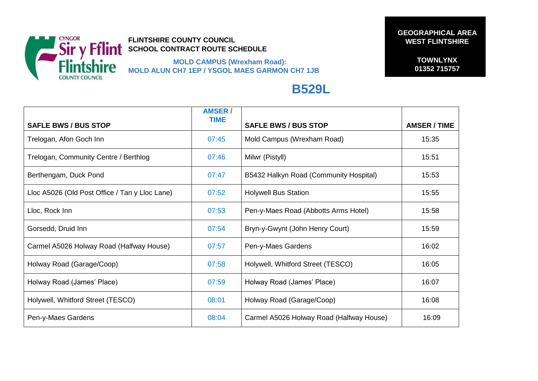

**FLINTSHIRE COUNTY COUNCIL SCHOOL CONTRACT ROUTE SCHEDULE** 

 **MOLD CAMPUS (Wrexham Road): MOLD ALUN CH7 1EP / YSGOL MAES GARMON CH7 1JB**  **GEOGRAPHICAL AREA WEST FLINTSHIRE** 

**TOWNLYNX 01352 715757**

## **B529L**

| <b>SAFLE BWS / BUS STOP</b>                    | <b>AMSER/</b><br><b>TIME</b> | <b>SAFLE BWS / BUS STOP</b>              | <b>AMSER / TIME</b> |
|------------------------------------------------|------------------------------|------------------------------------------|---------------------|
| Trelogan, Afon Goch Inn                        | 07:45                        | Mold Campus (Wrexham Road)               | 15:35               |
| Trelogan, Community Centre / Berthlog          | 07:46                        | Milwr (Pistyll)                          | 15:51               |
| Berthengam, Duck Pond                          | 07:47                        | B5432 Halkyn Road (Community Hospital)   | 15:53               |
| Lloc A5026 (Old Post Office / Tan y Lloc Lane) | 07:52                        | <b>Holywell Bus Station</b>              | 15:55               |
| Lloc, Rock Inn                                 | 07:53                        | Pen-y-Maes Road (Abbotts Arms Hotel)     | 15:58               |
| Gorsedd, Druid Inn                             | 07:54                        | Bryn-y-Gwynt (John Henry Court)          | 15:59               |
| Carmel A5026 Holway Road (Halfway House)       | 07:57                        | Pen-y-Maes Gardens                       | 16:02               |
| Holway Road (Garage/Coop)                      | 07:58                        | Holywell, Whitford Street (TESCO)        | 16:05               |
| Holway Road (James' Place)                     | 07:59                        | Holway Road (James' Place)               | 16:07               |
| Holywell, Whitford Street (TESCO)              | 08:01                        | Holway Road (Garage/Coop)                | 16:08               |
| Pen-y-Maes Gardens                             | 08:04                        | Carmel A5026 Holway Road (Halfway House) | 16:09               |